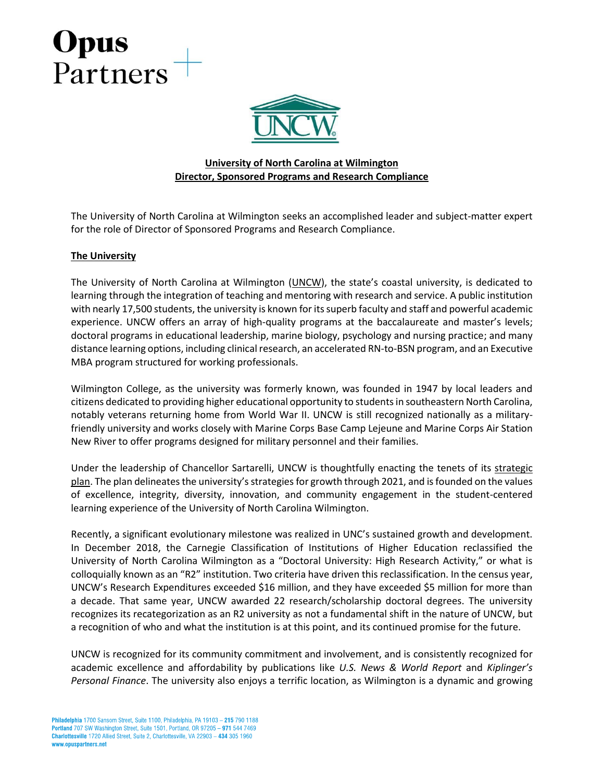

### **University of North Carolina at Wilmington Director, Sponsored Programs and Research Compliance**

The University of North Carolina at Wilmington seeks an accomplished leader and subject-matter expert for the role of Director of Sponsored Programs and Research Compliance.

#### **The University**

The University of North Carolina at Wilmington [\(UNCW](https://uncw.edu/)), the state's coastal university, is dedicated to learning through the integration of teaching and mentoring with research and service. A public institution with nearly 17,500 students, the university is known for its superb faculty and staff and powerful academic experience. UNCW offers an array of high-quality programs at the baccalaureate and master's levels; doctoral programs in educational leadership, marine biology, psychology and nursing practice; and many distance learning options, including clinical research, an accelerated RN-to-BSN program, and an Executive MBA program structured for working professionals.

Wilmington College, as the university was formerly known, was founded in 1947 by local leaders and citizens dedicated to providing higher educational opportunity to students in southeastern North Carolina, notably veterans returning home from World War II. UNCW is still recognized nationally as a militaryfriendly university and works closely with Marine Corps Base Camp Lejeune and Marine Corps Air Station New River to offer programs designed for military personnel and their families.

Under the leadership of Chancellor Sartarelli, UNCW is thoughtfully enacting the tenets of its [strategic](https://uncw.edu/strategicplan/)  [plan](https://uncw.edu/strategicplan/). The plan delineates the university's strategies for growth through 2021, and is founded on the values of excellence, integrity, diversity, innovation, and community engagement in the student-centered learning experience of the University of North Carolina Wilmington.

Recently, a significant evolutionary milestone was realized in UNC's sustained growth and development. In December 2018, the Carnegie Classification of Institutions of Higher Education reclassified the University of North Carolina Wilmington as a "Doctoral University: High Research Activity," or what is colloquially known as an "R2" institution. Two criteria have driven this reclassification. In the census year, UNCW's Research Expenditures exceeded \$16 million, and they have exceeded \$5 million for more than a decade. That same year, UNCW awarded 22 research/scholarship doctoral degrees. The university recognizes its recategorization as an R2 university as not a fundamental shift in the nature of UNCW, but a recognition of who and what the institution is at this point, and its continued promise for the future.

UNCW is recognized for its community commitment and involvement, and is consistently recognized for academic excellence and affordability by publications like *U.S. News & World Report* and *Kiplinger's Personal Finance*. The university also enjoys a terrific location, as Wilmington is a dynamic and growing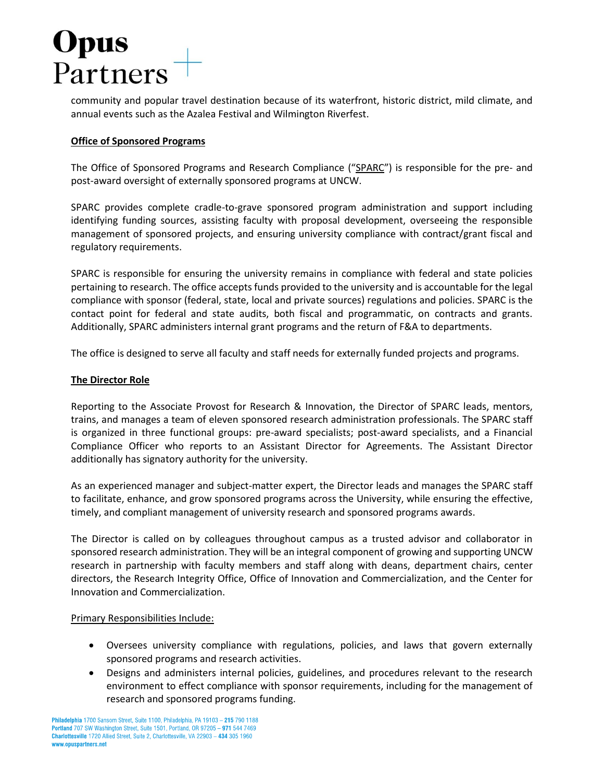community and popular travel destination because of its waterfront, historic district, mild climate, and annual events such as the Azalea Festival and Wilmington Riverfest.

#### **Office of Sponsored Programs**

The Office of Sponsored Programs and Research Compliance ("[SPARC](https://uncw.edu/sparc/)") is responsible for the pre- and post-award oversight of externally sponsored programs at UNCW.

SPARC provides complete cradle-to-grave sponsored program administration and support including identifying funding sources, assisting faculty with proposal development, overseeing the responsible management of sponsored projects, and ensuring university compliance with contract/grant fiscal and regulatory requirements.

SPARC is responsible for ensuring the university remains in compliance with federal and state policies pertaining to research. The office accepts funds provided to the university and is accountable for the legal compliance with sponsor (federal, state, local and private sources) regulations and policies. SPARC is the contact point for federal and state audits, both fiscal and programmatic, on contracts and grants. Additionally, SPARC administers internal grant programs and the return of F&A to departments.

The office is designed to serve all faculty and staff needs for externally funded projects and programs.

#### **The Director Role**

Reporting to the Associate Provost for Research & Innovation, the Director of SPARC leads, mentors, trains, and manages a team of eleven sponsored research administration professionals. The SPARC staff is organized in three functional groups: pre-award specialists; post-award specialists, and a Financial Compliance Officer who reports to an Assistant Director for Agreements. The Assistant Director additionally has signatory authority for the university.

As an experienced manager and subject-matter expert, the Director leads and manages the SPARC staff to facilitate, enhance, and grow sponsored programs across the University, while ensuring the effective, timely, and compliant management of university research and sponsored programs awards.

The Director is called on by colleagues throughout campus as a trusted advisor and collaborator in sponsored research administration. They will be an integral component of growing and supporting UNCW research in partnership with faculty members and staff along with deans, department chairs, center directors, the Research Integrity Office, Office of Innovation and Commercialization, and the Center for Innovation and Commercialization.

#### Primary Responsibilities Include:

- Oversees university compliance with regulations, policies, and laws that govern externally sponsored programs and research activities.
- Designs and administers internal policies, guidelines, and procedures relevant to the research environment to effect compliance with sponsor requirements, including for the management of research and sponsored programs funding.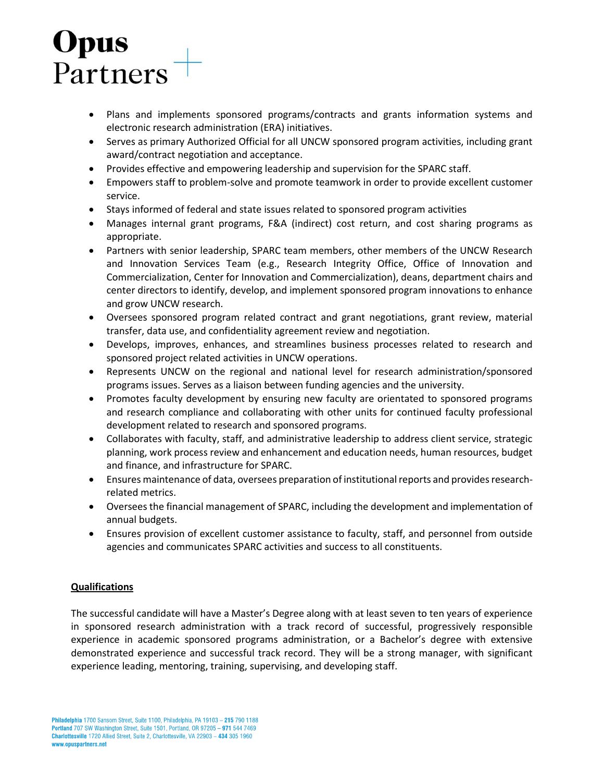- Plans and implements sponsored programs/contracts and grants information systems and electronic research administration (ERA) initiatives.
- Serves as primary Authorized Official for all UNCW sponsored program activities, including grant award/contract negotiation and acceptance.
- Provides effective and empowering leadership and supervision for the SPARC staff.
- Empowers staff to problem-solve and promote teamwork in order to provide excellent customer service.
- Stays informed of federal and state issues related to sponsored program activities
- Manages internal grant programs, F&A (indirect) cost return, and cost sharing programs as appropriate.
- Partners with senior leadership, SPARC team members, other members of the UNCW Research and Innovation Services Team (e.g., Research Integrity Office, Office of Innovation and Commercialization, Center for Innovation and Commercialization), deans, department chairs and center directors to identify, develop, and implement sponsored program innovations to enhance and grow UNCW research.
- Oversees sponsored program related contract and grant negotiations, grant review, material transfer, data use, and confidentiality agreement review and negotiation.
- Develops, improves, enhances, and streamlines business processes related to research and sponsored project related activities in UNCW operations.
- Represents UNCW on the regional and national level for research administration/sponsored programs issues. Serves as a liaison between funding agencies and the university.
- Promotes faculty development by ensuring new faculty are orientated to sponsored programs and research compliance and collaborating with other units for continued faculty professional development related to research and sponsored programs.
- Collaborates with faculty, staff, and administrative leadership to address client service, strategic planning, work process review and enhancement and education needs, human resources, budget and finance, and infrastructure for SPARC.
- Ensures maintenance of data, oversees preparation of institutional reports and provides researchrelated metrics.
- Oversees the financial management of SPARC, including the development and implementation of annual budgets.
- Ensures provision of excellent customer assistance to faculty, staff, and personnel from outside agencies and communicates SPARC activities and success to all constituents.

#### **Qualifications**

The successful candidate will have a Master's Degree along with at least seven to ten years of experience in sponsored research administration with a track record of successful, progressively responsible experience in academic sponsored programs administration, or a Bachelor's degree with extensive demonstrated experience and successful track record. They will be a strong manager, with significant experience leading, mentoring, training, supervising, and developing staff.